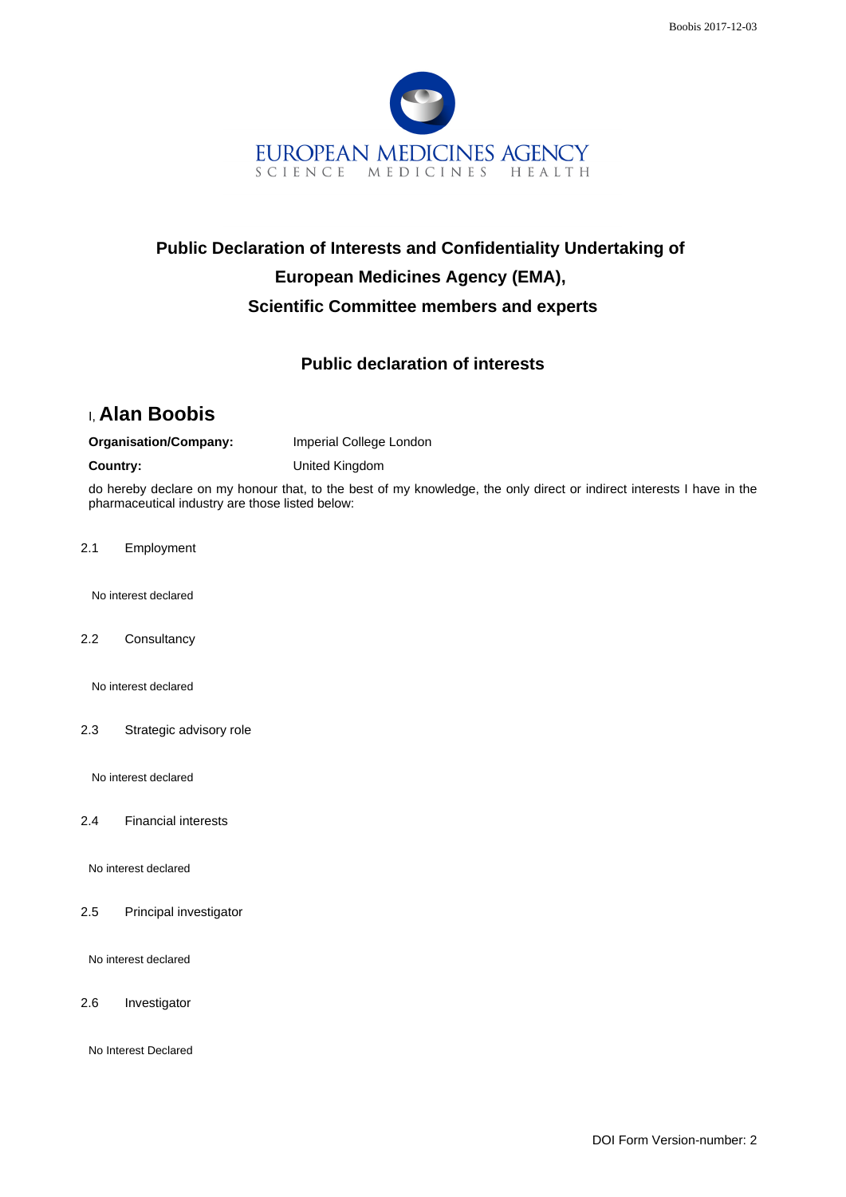

# **Public Declaration of Interests and Confidentiality Undertaking of European Medicines Agency (EMA), Scientific Committee members and experts**

### **Public declaration of interests**

## I, **Alan Boobis**

**Organisation/Company:** Imperial College London

**Country:** United Kingdom

do hereby declare on my honour that, to the best of my knowledge, the only direct or indirect interests I have in the pharmaceutical industry are those listed below:

2.1 Employment

No interest declared

2.2 Consultancy

No interest declared

2.3 Strategic advisory role

No interest declared

2.4 Financial interests

No interest declared

2.5 Principal investigator

No interest declared

2.6 Investigator

No Interest Declared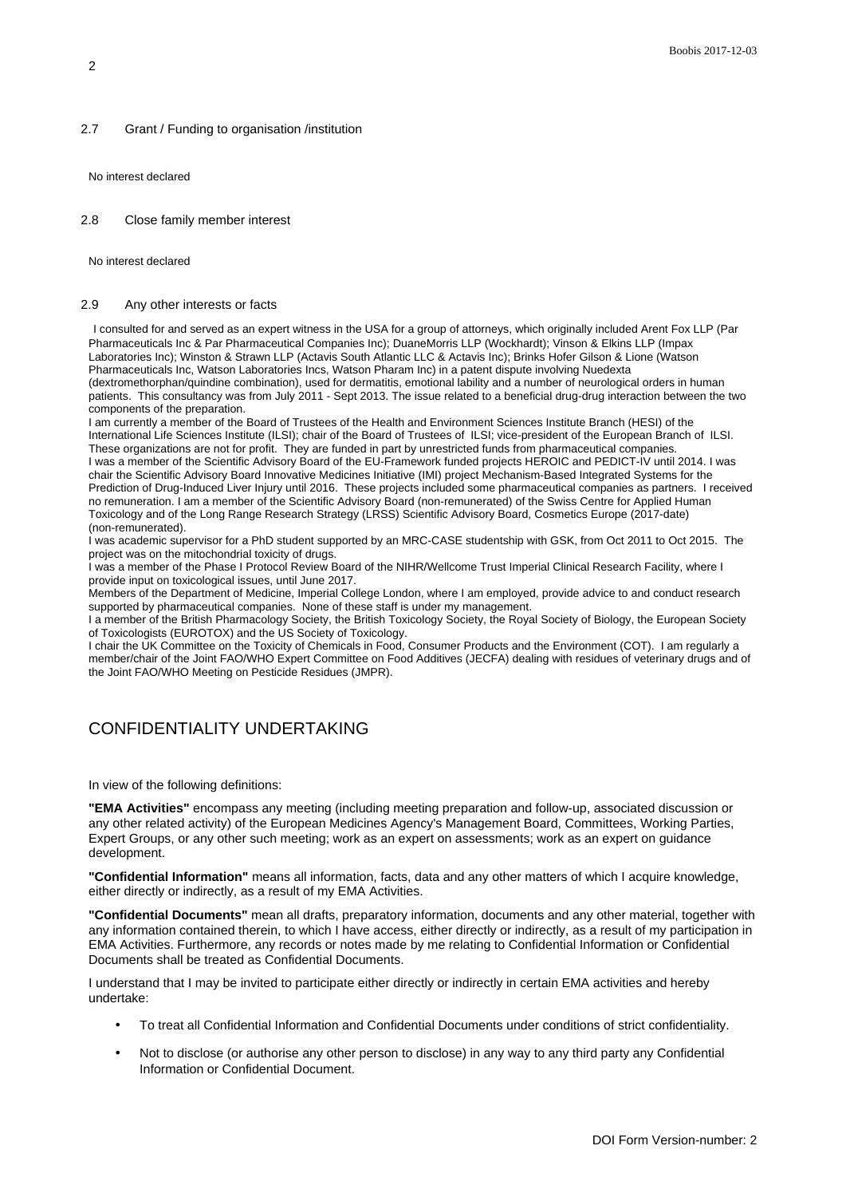#### 2.7 Grant / Funding to organisation /institution

No interest declared

#### 2.8 Close family member interest

No interest declared

#### 2.9 Any other interests or facts

I consulted for and served as an expert witness in the USA for a group of attorneys, which originally included Arent Fox LLP (Par Pharmaceuticals Inc & Par Pharmaceutical Companies Inc); DuaneMorris LLP (Wockhardt); Vinson & Elkins LLP (Impax Laboratories Inc); Winston & Strawn LLP (Actavis South Atlantic LLC & Actavis Inc); Brinks Hofer Gilson & Lione (Watson Pharmaceuticals Inc, Watson Laboratories Incs, Watson Pharam Inc) in a patent dispute involving Nuedexta (dextromethorphan/quindine combination), used for dermatitis, emotional lability and a number of neurological orders in human patients. This consultancy was from July 2011 - Sept 2013. The issue related to a beneficial drug-drug interaction between the two components of the preparation.

I am currently a member of the Board of Trustees of the Health and Environment Sciences Institute Branch (HESI) of the International Life Sciences Institute (ILSI); chair of the Board of Trustees of ILSI; vice-president of the European Branch of ILSI. These organizations are not for profit. They are funded in part by unrestricted funds from pharmaceutical companies. I was a member of the Scientific Advisory Board of the EU-Framework funded projects HEROIC and PEDICT-IV until 2014. I was chair the Scientific Advisory Board Innovative Medicines Initiative (IMI) project Mechanism-Based Integrated Systems for the Prediction of Drug-Induced Liver Injury until 2016. These projects included some pharmaceutical companies as partners. I received no remuneration. I am a member of the Scientific Advisory Board (non-remunerated) of the Swiss Centre for Applied Human Toxicology and of the Long Range Research Strategy (LRSS) Scientific Advisory Board, Cosmetics Europe (2017-date) (non-remunerated).

I was academic supervisor for a PhD student supported by an MRC-CASE studentship with GSK, from Oct 2011 to Oct 2015. The project was on the mitochondrial toxicity of drugs.

I was a member of the Phase I Protocol Review Board of the NIHR/Wellcome Trust Imperial Clinical Research Facility, where I provide input on toxicological issues, until June 2017.

Members of the Department of Medicine, Imperial College London, where I am employed, provide advice to and conduct research supported by pharmaceutical companies. None of these staff is under my management.

I a member of the British Pharmacology Society, the British Toxicology Society, the Royal Society of Biology, the European Society of Toxicologists (EUROTOX) and the US Society of Toxicology.

I chair the UK Committee on the Toxicity of Chemicals in Food, Consumer Products and the Environment (COT). I am regularly a member/chair of the Joint FAO/WHO Expert Committee on Food Additives (JECFA) dealing with residues of veterinary drugs and of the Joint FAO/WHO Meeting on Pesticide Residues (JMPR).

### CONFIDENTIALITY UNDERTAKING

In view of the following definitions:

**"EMA Activities"** encompass any meeting (including meeting preparation and follow-up, associated discussion or any other related activity) of the European Medicines Agency's Management Board, Committees, Working Parties, Expert Groups, or any other such meeting; work as an expert on assessments; work as an expert on guidance development.

**"Confidential Information"** means all information, facts, data and any other matters of which I acquire knowledge, either directly or indirectly, as a result of my EMA Activities.

**"Confidential Documents"** mean all drafts, preparatory information, documents and any other material, together with any information contained therein, to which I have access, either directly or indirectly, as a result of my participation in EMA Activities. Furthermore, any records or notes made by me relating to Confidential Information or Confidential Documents shall be treated as Confidential Documents.

I understand that I may be invited to participate either directly or indirectly in certain EMA activities and hereby undertake:

- To treat all Confidential Information and Confidential Documents under conditions of strict confidentiality.
- Not to disclose (or authorise any other person to disclose) in any way to any third party any Confidential Information or Confidential Document.